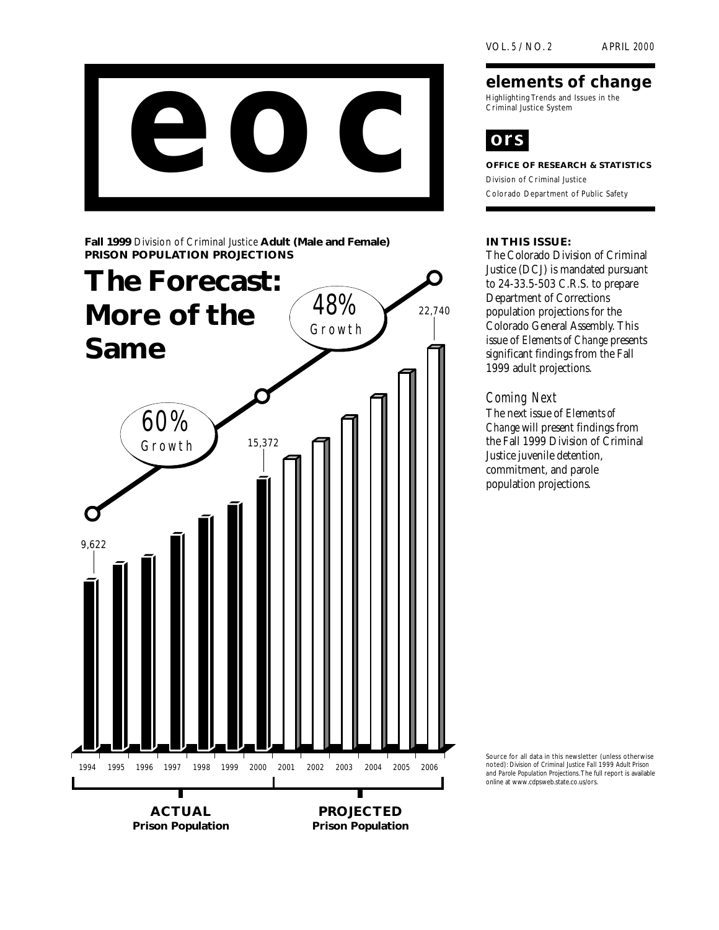

**Fall 1999** Division of Criminal Justice **Adult (Male and Female) PRISON POPULATION PROJECTIONS**



# **elements of change**

Highlighting Trends and Issues in the Criminal Justice System



**OFFICE OF RESEARCH & STATISTICS** Division of Criminal Justice Colorado Department of Public Safety

### **IN THIS ISSUE:**

The Colorado Division of Criminal Justice (DCJ) is mandated pursuant to 24-33.5-503 C.R.S. to prepare Department of Corrections population projections for the Colorado General Assembly. This issue of *Elements of Change* presents significant findings from the Fall 1999 **adult** projections.

# Coming Next

The next issue of *Elements of Change* will present findings from the Fall 1999 Division of Criminal Justice **juvenile** detention, commitment, and parole population projections.

Source for all data in this newsletter (unless otherwise noted): *Division of Criminal Justice Fall 1999 Adult Prison and Parole Population Projections*. The full report is available online at www.cdpsweb.state.co.us/ors.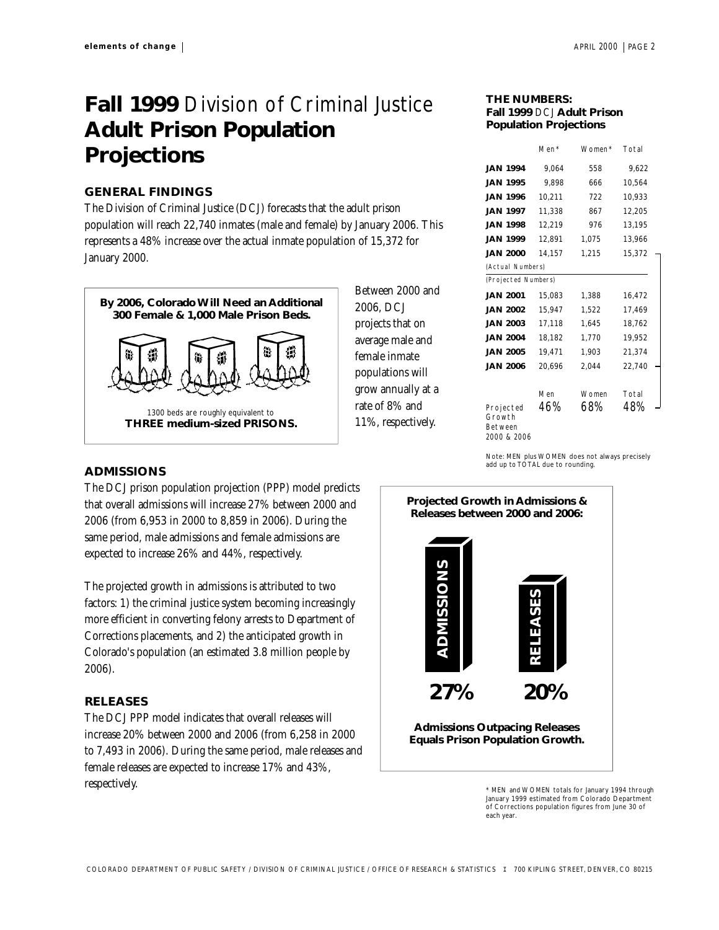# **Fall 1999** Division of Criminal Justice **Adult Prison Population Projections**

#### **GENERAL FINDINGS**

The Division of Criminal Justice (DCJ) forecasts that the adult prison population will reach **22,740** inmates (male and female) by January 2006. This represents a **48**% increase over the actual inmate population of **15,372** for January 2000.



Between 2000 and 2006, DCJ projects that on average male and female inmate populations will grow annually at a rate of **8**% and **11**%, respectively.

| THE NUMBERS:                  |  |  |  |  |
|-------------------------------|--|--|--|--|
| Fall 1999 DCJ Adult Prison    |  |  |  |  |
| <b>Population Projections</b> |  |  |  |  |

|                                               | Men*   | Women* | Total  |  |  |
|-----------------------------------------------|--------|--------|--------|--|--|
| <b>JAN 1994</b>                               | 9.064  | 558    | 9,622  |  |  |
| <b>JAN 1995</b>                               | 9.898  | 666    | 10,564 |  |  |
| <b>JAN 1996</b>                               | 10,211 | 722    | 10,933 |  |  |
| <b>JAN 1997</b>                               | 11,338 | 867    | 12,205 |  |  |
| <b>JAN 1998</b>                               | 12.219 | 976    | 13.195 |  |  |
| <b>JAN 1999</b>                               | 12,891 | 1,075  | 13,966 |  |  |
| <b>JAN 2000</b>                               | 14.157 | 1.215  | 15.372 |  |  |
| (Actual Numbers)                              |        |        |        |  |  |
| (Projected Numbers)                           |        |        |        |  |  |
| <b>JAN 2001</b>                               | 15,083 | 1.388  | 16,472 |  |  |
| <b>JAN 2002</b>                               | 15,947 | 1,522  | 17,469 |  |  |
| <b>JAN 2003</b>                               | 17.118 | 1.645  | 18,762 |  |  |
| <b>JAN 2004</b>                               | 18,182 | 1,770  | 19,952 |  |  |
| <b>JAN 2005</b>                               | 19,471 | 1,903  | 21,374 |  |  |
| <b>JAN 2006</b>                               | 20,696 | 2.044  | 22.740 |  |  |
|                                               |        |        |        |  |  |
|                                               | Men    | Women  | Total  |  |  |
| Projected<br>Growth<br>Between<br>2000 & 2006 | 46%    | 68%    | 48%    |  |  |

Note: MEN plus WOMEN does not always precisely add up to TOTAL due to rounding.

#### **ADMISSIONS**

The DCJ prison population projection (PPP) model predicts that overall admissions will increase **27**% between 2000 and 2006 (from **6,953** in 2000 to **8,859** in 2006). During the same period, male admissions and female admissions are expected to increase **26**% and **44**%, respectively.

The projected growth in admissions is attributed to two factors: 1) the criminal justice system becoming increasingly more efficient in converting felony arrests to Department of Corrections placements, and 2) the anticipated growth in Colorado's population (an estimated 3.8 million people by 2006).

#### **RELEASES**

The DCJ PPP model indicates that overall releases will increase **20**% between 2000 and 2006 (from **6,258** in 2000 to **7,493** in 2006). During the same period, male releases and female releases are expected to increase **17**% and **43**%, respectively.



\* MEN and WOMEN totals for January 1994 through January 1999 estimated from Colorado Department of Corrections population figures from June 30 of each year.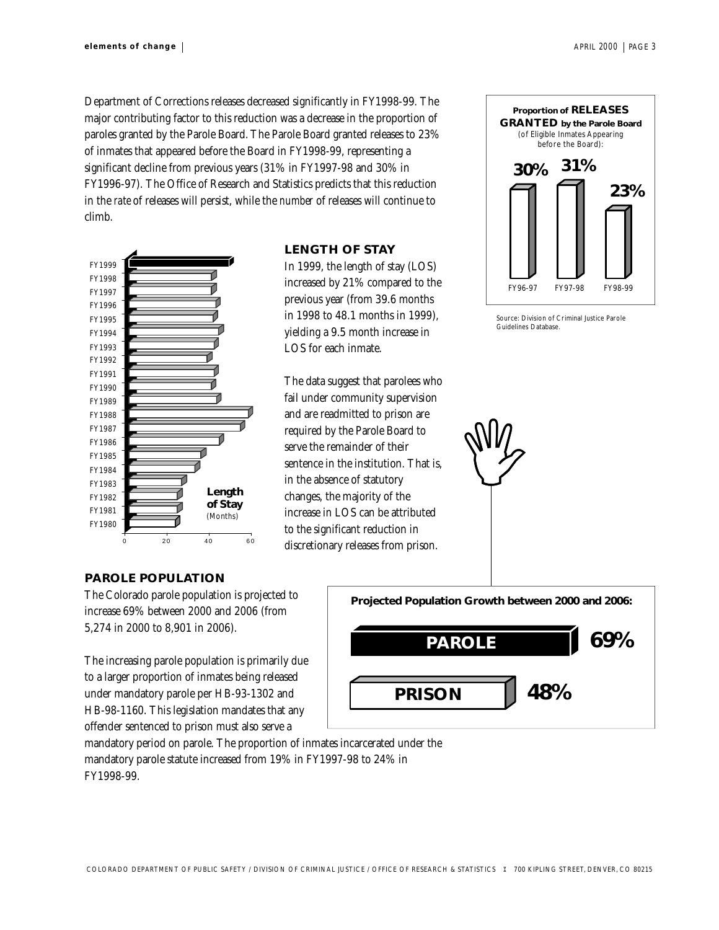Department of Corrections releases decreased significantly in FY1998-99. The major contributing factor to this reduction was a decrease in the proportion of paroles granted by the Parole Board. The Parole Board granted releases to **23**% of inmates that appeared before the Board in FY1998-99, representing a significant decline from previous years (**31**% in FY1997-98 and **30**% in FY1996-97). The Office of Research and Statistics predicts that this reduction in the *rate* of releases will persist, while the *number* of releases will continue to climb.



## **LENGTH OF STAY**

In 1999, the length of stay (LOS) increased by **21**% compared to the previous year (from **39.6** months in 1998 to **48.1** months in 1999), yielding a **9.5** month increase in LOS for each inmate.

The data suggest that parolees who fail under community supervision and are readmitted to prison are required by the Parole Board to serve the remainder of their sentence in the institution. That is, in the absence of statutory changes, the majority of the increase in LOS can be attributed to the significant reduction in discretionary releases from prison.



Source: Division of Criminal Justice Parole Guidelines Database.

My

#### **PAROLE POPULATION**

The Colorado parole population is projected to increase **69**% between 2000 and 2006 (from **5,274** in 2000 to **8,901** in 2006).

The increasing parole population is primarily due to a larger proportion of inmates being released under mandatory parole per HB-93-1302 and HB-98-1160. This legislation mandates that any offender sentenced to prison must also serve a



mandatory period on parole. The proportion of inmates incarcerated under the mandatory parole statute increased from **19**% in FY1997-98 to **24**% in FY1998-99.